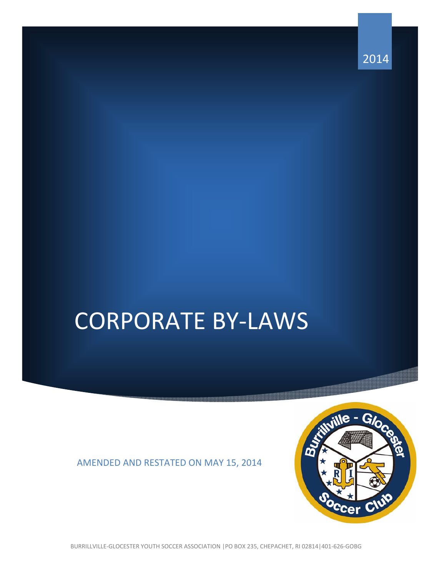2014

# CORPORATE BY‐LAWS

## AMENDED AND RESTATED ON MAY 15, 2014



BURRILLVILLE‐GLOCESTER YOUTH SOCCER ASSOCIATION |PO BOX 235, CHEPACHET, RI 02814|401‐626‐GOBG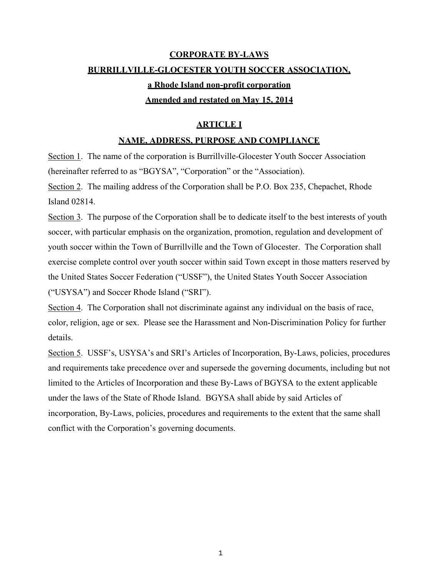# **CORPORATE BY-LAWS BURRILLVILLE-GLOCESTER YOUTH SOCCER ASSOCIATION, a Rhode Island non-profit corporation Amended and restated on May 15, 2014**

## **ARTICLE I**

### **NAME, ADDRESS, PURPOSE AND COMPLIANCE**

Section 1. The name of the corporation is Burrillville-Glocester Youth Soccer Association (hereinafter referred to as "BGYSA", "Corporation" or the "Association).

Section 2. The mailing address of the Corporation shall be P.O. Box 235, Chepachet, Rhode Island 02814.

Section 3. The purpose of the Corporation shall be to dedicate itself to the best interests of youth soccer, with particular emphasis on the organization, promotion, regulation and development of youth soccer within the Town of Burrillville and the Town of Glocester. The Corporation shall exercise complete control over youth soccer within said Town except in those matters reserved by the United States Soccer Federation ("USSF"), the United States Youth Soccer Association ("USYSA") and Soccer Rhode Island ("SRI").

Section 4. The Corporation shall not discriminate against any individual on the basis of race, color, religion, age or sex. Please see the Harassment and Non-Discrimination Policy for further details.

Section 5. USSF's, USYSA's and SRI's Articles of Incorporation, By-Laws, policies, procedures and requirements take precedence over and supersede the governing documents, including but not limited to the Articles of Incorporation and these By-Laws of BGYSA to the extent applicable under the laws of the State of Rhode Island. BGYSA shall abide by said Articles of incorporation, By-Laws, policies, procedures and requirements to the extent that the same shall conflict with the Corporation's governing documents.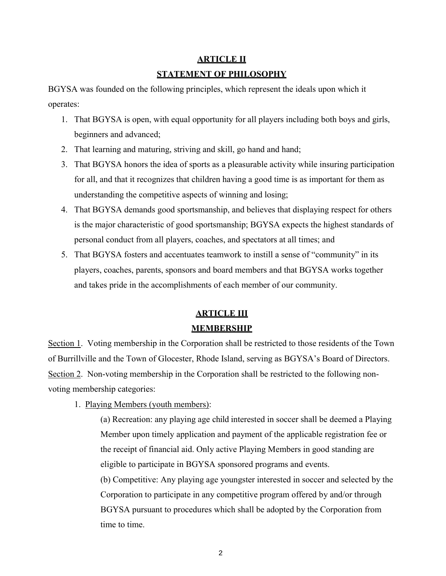## **ARTICLE II STATEMENT OF PHILOSOPHY**

BGYSA was founded on the following principles, which represent the ideals upon which it operates:

- 1. That BGYSA is open, with equal opportunity for all players including both boys and girls, beginners and advanced;
- 2. That learning and maturing, striving and skill, go hand and hand;
- 3. That BGYSA honors the idea of sports as a pleasurable activity while insuring participation for all, and that it recognizes that children having a good time is as important for them as understanding the competitive aspects of winning and losing;
- 4. That BGYSA demands good sportsmanship, and believes that displaying respect for others is the major characteristic of good sportsmanship; BGYSA expects the highest standards of personal conduct from all players, coaches, and spectators at all times; and
- 5. That BGYSA fosters and accentuates teamwork to instill a sense of "community" in its players, coaches, parents, sponsors and board members and that BGYSA works together and takes pride in the accomplishments of each member of our community.

# **ARTICLE III MEMBERSHIP**

Section 1. Voting membership in the Corporation shall be restricted to those residents of the Town of Burrillville and the Town of Glocester, Rhode Island, serving as BGYSA's Board of Directors. Section 2. Non-voting membership in the Corporation shall be restricted to the following nonvoting membership categories:

1. Playing Members (youth members):

(a) Recreation: any playing age child interested in soccer shall be deemed a Playing Member upon timely application and payment of the applicable registration fee or the receipt of financial aid. Only active Playing Members in good standing are eligible to participate in BGYSA sponsored programs and events. (b) Competitive: Any playing age youngster interested in soccer and selected by the Corporation to participate in any competitive program offered by and/or through BGYSA pursuant to procedures which shall be adopted by the Corporation from time to time.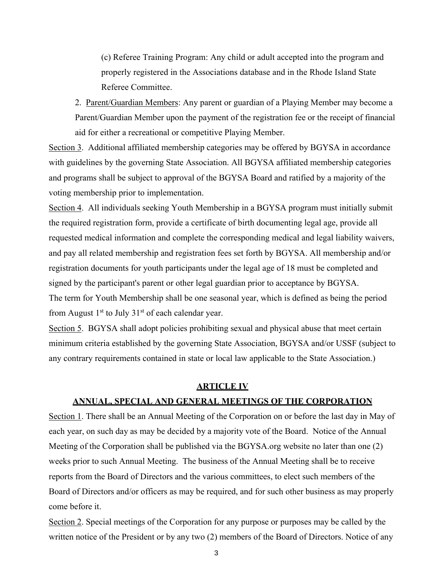(c) Referee Training Program: Any child or adult accepted into the program and properly registered in the Associations database and in the Rhode Island State Referee Committee.

2. Parent/Guardian Members: Any parent or guardian of a Playing Member may become a Parent/Guardian Member upon the payment of the registration fee or the receipt of financial aid for either a recreational or competitive Playing Member.

Section 3. Additional affiliated membership categories may be offered by BGYSA in accordance with guidelines by the governing State Association. All BGYSA affiliated membership categories and programs shall be subject to approval of the BGYSA Board and ratified by a majority of the voting membership prior to implementation.

Section 4. All individuals seeking Youth Membership in a BGYSA program must initially submit the required registration form, provide a certificate of birth documenting legal age, provide all requested medical information and complete the corresponding medical and legal liability waivers, and pay all related membership and registration fees set forth by BGYSA. All membership and/or registration documents for youth participants under the legal age of 18 must be completed and signed by the participant's parent or other legal guardian prior to acceptance by BGYSA. The term for Youth Membership shall be one seasonal year, which is defined as being the period from August  $1<sup>st</sup>$  to July  $31<sup>st</sup>$  of each calendar year.

Section 5. BGYSA shall adopt policies prohibiting sexual and physical abuse that meet certain minimum criteria established by the governing State Association, BGYSA and/or USSF (subject to any contrary requirements contained in state or local law applicable to the State Association.)

#### **ARTICLE IV**

#### **ANNUAL, SPECIAL AND GENERAL MEETINGS OF THE CORPORATION**

Section 1. There shall be an Annual Meeting of the Corporation on or before the last day in May of each year, on such day as may be decided by a majority vote of the Board. Notice of the Annual Meeting of the Corporation shall be published via the BGYSA.org website no later than one (2) weeks prior to such Annual Meeting. The business of the Annual Meeting shall be to receive reports from the Board of Directors and the various committees, to elect such members of the Board of Directors and/or officers as may be required, and for such other business as may properly come before it.

Section 2. Special meetings of the Corporation for any purpose or purposes may be called by the written notice of the President or by any two (2) members of the Board of Directors. Notice of any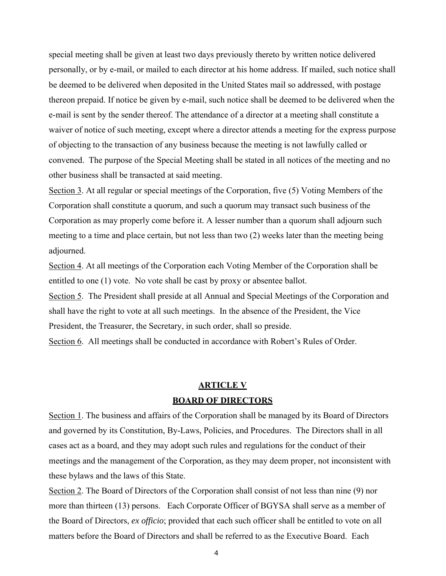special meeting shall be given at least two days previously thereto by written notice delivered personally, or by e-mail, or mailed to each director at his home address. If mailed, such notice shall be deemed to be delivered when deposited in the United States mail so addressed, with postage thereon prepaid. If notice be given by e-mail, such notice shall be deemed to be delivered when the e-mail is sent by the sender thereof. The attendance of a director at a meeting shall constitute a waiver of notice of such meeting, except where a director attends a meeting for the express purpose of objecting to the transaction of any business because the meeting is not lawfully called or convened. The purpose of the Special Meeting shall be stated in all notices of the meeting and no other business shall be transacted at said meeting.

Section 3. At all regular or special meetings of the Corporation, five (5) Voting Members of the Corporation shall constitute a quorum, and such a quorum may transact such business of the Corporation as may properly come before it. A lesser number than a quorum shall adjourn such meeting to a time and place certain, but not less than two (2) weeks later than the meeting being adjourned.

Section 4. At all meetings of the Corporation each Voting Member of the Corporation shall be entitled to one (1) vote. No vote shall be cast by proxy or absentee ballot.

Section 5. The President shall preside at all Annual and Special Meetings of the Corporation and shall have the right to vote at all such meetings. In the absence of the President, the Vice President, the Treasurer, the Secretary, in such order, shall so preside.

Section 6. All meetings shall be conducted in accordance with Robert's Rules of Order.

## **ARTICLE V BOARD OF DIRECTORS**

Section 1. The business and affairs of the Corporation shall be managed by its Board of Directors and governed by its Constitution, By-Laws, Policies, and Procedures. The Directors shall in all cases act as a board, and they may adopt such rules and regulations for the conduct of their meetings and the management of the Corporation, as they may deem proper, not inconsistent with these bylaws and the laws of this State.

Section 2. The Board of Directors of the Corporation shall consist of not less than nine (9) nor more than thirteen (13) persons. Each Corporate Officer of BGYSA shall serve as a member of the Board of Directors, *ex officio*; provided that each such officer shall be entitled to vote on all matters before the Board of Directors and shall be referred to as the Executive Board. Each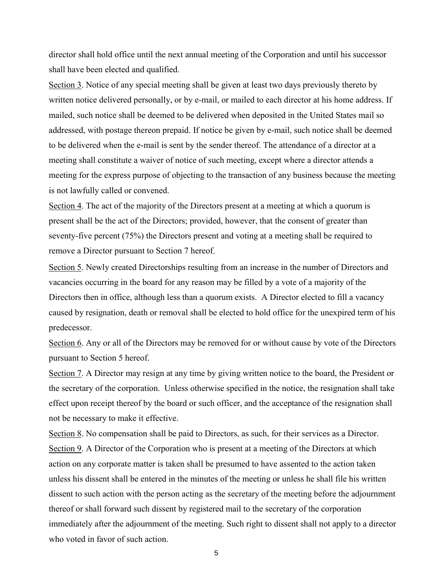director shall hold office until the next annual meeting of the Corporation and until his successor shall have been elected and qualified.

Section 3. Notice of any special meeting shall be given at least two days previously thereto by written notice delivered personally, or by e-mail, or mailed to each director at his home address. If mailed, such notice shall be deemed to be delivered when deposited in the United States mail so addressed, with postage thereon prepaid. If notice be given by e-mail, such notice shall be deemed to be delivered when the e-mail is sent by the sender thereof. The attendance of a director at a meeting shall constitute a waiver of notice of such meeting, except where a director attends a meeting for the express purpose of objecting to the transaction of any business because the meeting is not lawfully called or convened.

Section 4. The act of the majority of the Directors present at a meeting at which a quorum is present shall be the act of the Directors; provided, however, that the consent of greater than seventy-five percent (75%) the Directors present and voting at a meeting shall be required to remove a Director pursuant to Section 7 hereof.

Section 5. Newly created Directorships resulting from an increase in the number of Directors and vacancies occurring in the board for any reason may be filled by a vote of a majority of the Directors then in office, although less than a quorum exists. A Director elected to fill a vacancy caused by resignation, death or removal shall be elected to hold office for the unexpired term of his predecessor.

Section 6. Any or all of the Directors may be removed for or without cause by vote of the Directors pursuant to Section 5 hereof.

Section 7. A Director may resign at any time by giving written notice to the board, the President or the secretary of the corporation. Unless otherwise specified in the notice, the resignation shall take effect upon receipt thereof by the board or such officer, and the acceptance of the resignation shall not be necessary to make it effective.

Section 8. No compensation shall be paid to Directors, as such, for their services as a Director. Section 9. A Director of the Corporation who is present at a meeting of the Directors at which action on any corporate matter is taken shall be presumed to have assented to the action taken unless his dissent shall be entered in the minutes of the meeting or unless he shall file his written dissent to such action with the person acting as the secretary of the meeting before the adjournment thereof or shall forward such dissent by registered mail to the secretary of the corporation immediately after the adjournment of the meeting. Such right to dissent shall not apply to a director who voted in favor of such action.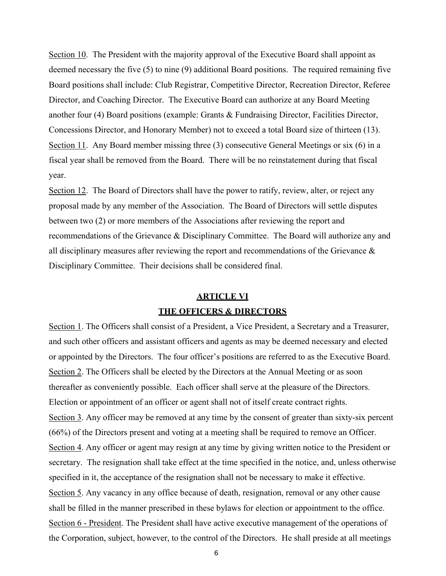Section 10. The President with the majority approval of the Executive Board shall appoint as deemed necessary the five (5) to nine (9) additional Board positions. The required remaining five Board positions shall include: Club Registrar, Competitive Director, Recreation Director, Referee Director, and Coaching Director. The Executive Board can authorize at any Board Meeting another four (4) Board positions (example: Grants & Fundraising Director, Facilities Director, Concessions Director, and Honorary Member) not to exceed a total Board size of thirteen (13). Section 11. Any Board member missing three (3) consecutive General Meetings or six (6) in a fiscal year shall be removed from the Board. There will be no reinstatement during that fiscal year.

Section 12. The Board of Directors shall have the power to ratify, review, alter, or reject any proposal made by any member of the Association. The Board of Directors will settle disputes between two (2) or more members of the Associations after reviewing the report and recommendations of the Grievance & Disciplinary Committee. The Board will authorize any and all disciplinary measures after reviewing the report and recommendations of the Grievance  $\&$ Disciplinary Committee. Their decisions shall be considered final.

# **ARTICLE VI THE OFFICERS & DIRECTORS**

Section 1. The Officers shall consist of a President, a Vice President, a Secretary and a Treasurer, and such other officers and assistant officers and agents as may be deemed necessary and elected or appointed by the Directors. The four officer's positions are referred to as the Executive Board. Section 2. The Officers shall be elected by the Directors at the Annual Meeting or as soon thereafter as conveniently possible. Each officer shall serve at the pleasure of the Directors. Election or appointment of an officer or agent shall not of itself create contract rights. Section 3. Any officer may be removed at any time by the consent of greater than sixty-six percent (66%) of the Directors present and voting at a meeting shall be required to remove an Officer. Section 4. Any officer or agent may resign at any time by giving written notice to the President or secretary. The resignation shall take effect at the time specified in the notice, and, unless otherwise specified in it, the acceptance of the resignation shall not be necessary to make it effective. Section 5. Any vacancy in any office because of death, resignation, removal or any other cause shall be filled in the manner prescribed in these bylaws for election or appointment to the office. Section 6 - President. The President shall have active executive management of the operations of the Corporation, subject, however, to the control of the Directors. He shall preside at all meetings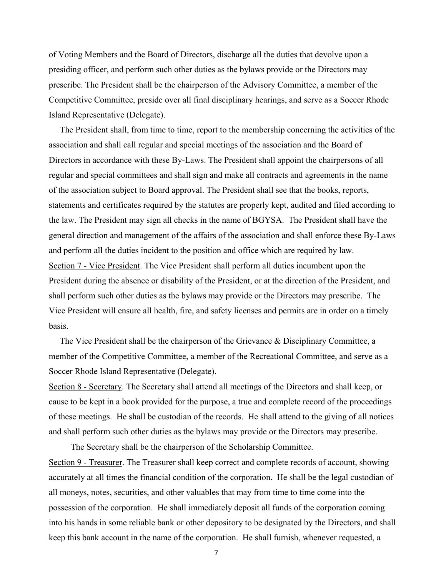of Voting Members and the Board of Directors, discharge all the duties that devolve upon a presiding officer, and perform such other duties as the bylaws provide or the Directors may prescribe. The President shall be the chairperson of the Advisory Committee, a member of the Competitive Committee, preside over all final disciplinary hearings, and serve as a Soccer Rhode Island Representative (Delegate).

 The President shall, from time to time, report to the membership concerning the activities of the association and shall call regular and special meetings of the association and the Board of Directors in accordance with these By-Laws. The President shall appoint the chairpersons of all regular and special committees and shall sign and make all contracts and agreements in the name of the association subject to Board approval. The President shall see that the books, reports, statements and certificates required by the statutes are properly kept, audited and filed according to the law. The President may sign all checks in the name of BGYSA. The President shall have the general direction and management of the affairs of the association and shall enforce these By-Laws and perform all the duties incident to the position and office which are required by law. Section 7 - Vice President. The Vice President shall perform all duties incumbent upon the President during the absence or disability of the President, or at the direction of the President, and shall perform such other duties as the bylaws may provide or the Directors may prescribe. The Vice President will ensure all health, fire, and safety licenses and permits are in order on a timely basis.

 The Vice President shall be the chairperson of the Grievance & Disciplinary Committee, a member of the Competitive Committee, a member of the Recreational Committee, and serve as a Soccer Rhode Island Representative (Delegate).

Section 8 - Secretary. The Secretary shall attend all meetings of the Directors and shall keep, or cause to be kept in a book provided for the purpose, a true and complete record of the proceedings of these meetings. He shall be custodian of the records. He shall attend to the giving of all notices and shall perform such other duties as the bylaws may provide or the Directors may prescribe.

 The Secretary shall be the chairperson of the Scholarship Committee. Section 9 - Treasurer. The Treasurer shall keep correct and complete records of account, showing accurately at all times the financial condition of the corporation. He shall be the legal custodian of all moneys, notes, securities, and other valuables that may from time to time come into the possession of the corporation. He shall immediately deposit all funds of the corporation coming into his hands in some reliable bank or other depository to be designated by the Directors, and shall keep this bank account in the name of the corporation. He shall furnish, whenever requested, a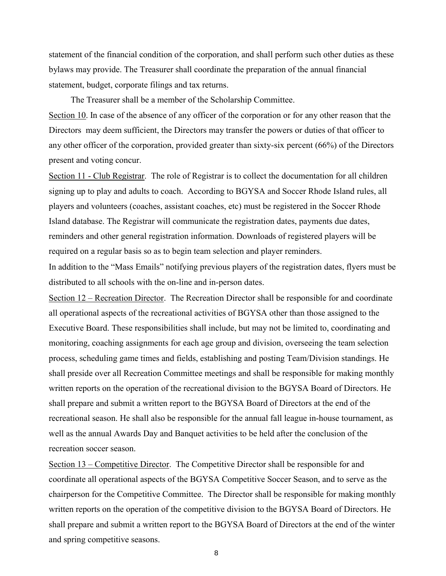statement of the financial condition of the corporation, and shall perform such other duties as these bylaws may provide. The Treasurer shall coordinate the preparation of the annual financial statement, budget, corporate filings and tax returns.

The Treasurer shall be a member of the Scholarship Committee.

Section 10. In case of the absence of any officer of the corporation or for any other reason that the Directors may deem sufficient, the Directors may transfer the powers or duties of that officer to any other officer of the corporation, provided greater than sixty-six percent (66%) of the Directors present and voting concur.

Section 11 - Club Registrar. The role of Registrar is to collect the documentation for all children signing up to play and adults to coach. According to BGYSA and Soccer Rhode Island rules, all players and volunteers (coaches, assistant coaches, etc) must be registered in the Soccer Rhode Island database. The Registrar will communicate the registration dates, payments due dates, reminders and other general registration information. Downloads of registered players will be required on a regular basis so as to begin team selection and player reminders.

In addition to the "Mass Emails" notifying previous players of the registration dates, flyers must be distributed to all schools with the on-line and in-person dates.

Section 12 – Recreation Director. The Recreation Director shall be responsible for and coordinate all operational aspects of the recreational activities of BGYSA other than those assigned to the Executive Board. These responsibilities shall include, but may not be limited to, coordinating and monitoring, coaching assignments for each age group and division, overseeing the team selection process, scheduling game times and fields, establishing and posting Team/Division standings. He shall preside over all Recreation Committee meetings and shall be responsible for making monthly written reports on the operation of the recreational division to the BGYSA Board of Directors. He shall prepare and submit a written report to the BGYSA Board of Directors at the end of the recreational season. He shall also be responsible for the annual fall league in-house tournament, as well as the annual Awards Day and Banquet activities to be held after the conclusion of the recreation soccer season.

Section 13 – Competitive Director. The Competitive Director shall be responsible for and coordinate all operational aspects of the BGYSA Competitive Soccer Season, and to serve as the chairperson for the Competitive Committee. The Director shall be responsible for making monthly written reports on the operation of the competitive division to the BGYSA Board of Directors. He shall prepare and submit a written report to the BGYSA Board of Directors at the end of the winter and spring competitive seasons.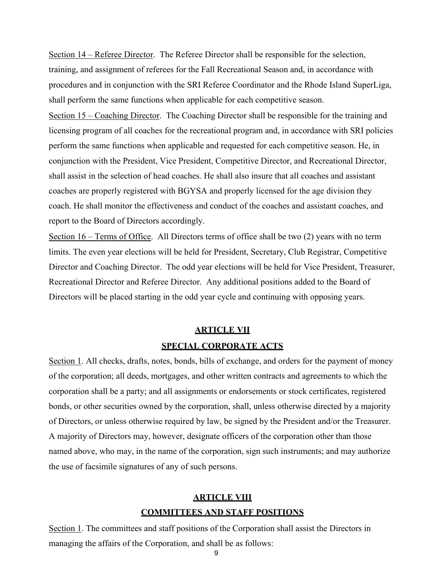Section 14 – Referee Director. The Referee Director shall be responsible for the selection, training, and assignment of referees for the Fall Recreational Season and, in accordance with procedures and in conjunction with the SRI Referee Coordinator and the Rhode Island SuperLiga, shall perform the same functions when applicable for each competitive season.

Section 15 – Coaching Director. The Coaching Director shall be responsible for the training and licensing program of all coaches for the recreational program and, in accordance with SRI policies perform the same functions when applicable and requested for each competitive season. He, in conjunction with the President, Vice President, Competitive Director, and Recreational Director, shall assist in the selection of head coaches. He shall also insure that all coaches and assistant coaches are properly registered with BGYSA and properly licensed for the age division they coach. He shall monitor the effectiveness and conduct of the coaches and assistant coaches, and report to the Board of Directors accordingly.

Section 16 – Terms of Office. All Directors terms of office shall be two (2) years with no term limits. The even year elections will be held for President, Secretary, Club Registrar, Competitive Director and Coaching Director. The odd year elections will be held for Vice President, Treasurer, Recreational Director and Referee Director. Any additional positions added to the Board of Directors will be placed starting in the odd year cycle and continuing with opposing years.

#### **ARTICLE VII**

#### **SPECIAL CORPORATE ACTS**

Section 1. All checks, drafts, notes, bonds, bills of exchange, and orders for the payment of money of the corporation; all deeds, mortgages, and other written contracts and agreements to which the corporation shall be a party; and all assignments or endorsements or stock certificates, registered bonds, or other securities owned by the corporation, shall, unless otherwise directed by a majority of Directors, or unless otherwise required by law, be signed by the President and/or the Treasurer. A majority of Directors may, however, designate officers of the corporation other than those named above, who may, in the name of the corporation, sign such instruments; and may authorize the use of facsimile signatures of any of such persons.

## **ARTICLE VIII COMMITTEES AND STAFF POSITIONS**

Section 1. The committees and staff positions of the Corporation shall assist the Directors in managing the affairs of the Corporation, and shall be as follows: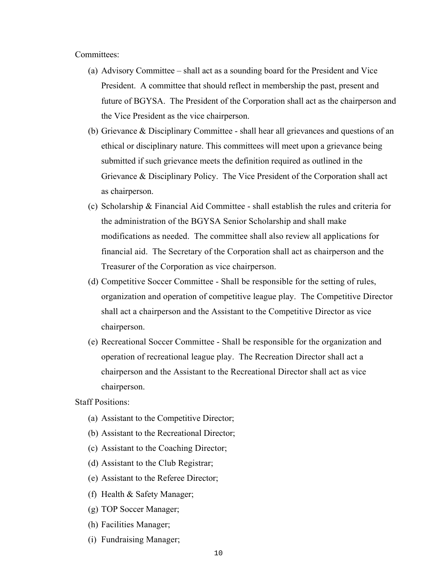#### Committees:

- (a) Advisory Committee shall act as a sounding board for the President and Vice President. A committee that should reflect in membership the past, present and future of BGYSA. The President of the Corporation shall act as the chairperson and the Vice President as the vice chairperson.
- (b) Grievance & Disciplinary Committee shall hear all grievances and questions of an ethical or disciplinary nature. This committees will meet upon a grievance being submitted if such grievance meets the definition required as outlined in the Grievance & Disciplinary Policy. The Vice President of the Corporation shall act as chairperson.
- (c) Scholarship & Financial Aid Committee shall establish the rules and criteria for the administration of the BGYSA Senior Scholarship and shall make modifications as needed. The committee shall also review all applications for financial aid. The Secretary of the Corporation shall act as chairperson and the Treasurer of the Corporation as vice chairperson.
- (d) Competitive Soccer Committee Shall be responsible for the setting of rules, organization and operation of competitive league play. The Competitive Director shall act a chairperson and the Assistant to the Competitive Director as vice chairperson.
- (e) Recreational Soccer Committee Shall be responsible for the organization and operation of recreational league play. The Recreation Director shall act a chairperson and the Assistant to the Recreational Director shall act as vice chairperson.

Staff Positions:

- (a) Assistant to the Competitive Director;
- (b) Assistant to the Recreational Director;
- (c) Assistant to the Coaching Director;
- (d) Assistant to the Club Registrar;
- (e) Assistant to the Referee Director;
- (f) Health & Safety Manager;
- (g) TOP Soccer Manager;
- (h) Facilities Manager;
- (i) Fundraising Manager;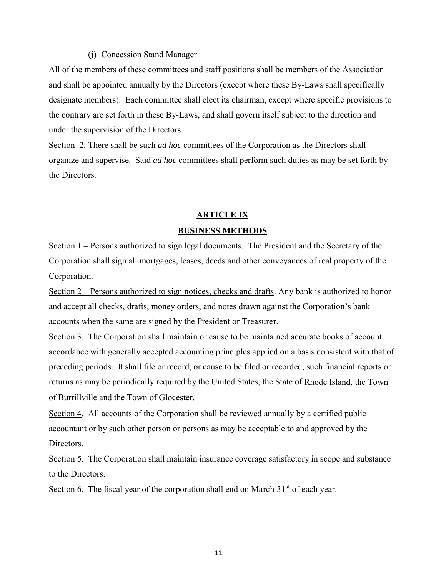#### (j) Concession Stand Manager

All of the members of these committees and staff positions shall be members of the Association and shall be appointed annually by the Directors (except where these By-Laws shall specifically designate members). Each committee shall elect its chairman, except where specific provisions to the contrary are set forth in these By-Laws, and shall govern itself subject to the direction and under the supervision of the Directors.

Section 2. There shall be such *ad hoc* committees of the Corporation as the Directors shall organize and supervise. Said *ad hoc* committees shall perform such duties as may be set forth by the Directors.

## **ARTICLE IX BUSINESS METHODS**

Section 1 – Persons authorized to sign legal documents. The President and the Secretary of the Corporation shall sign all mortgages, leases, deeds and other conveyances of real property of the Corporation.

Section 2 – Persons authorized to sign notices, checks and drafts. Any bank is authorized to honor and accept all checks, drafts, money orders, and notes drawn against the Corporation's bank accounts when the same are signed by the President or Treasurer.

Section 3. The Corporation shall maintain or cause to be maintained accurate books of account accordance with generally accepted accounting principles applied on a basis consistent with that of preceding periods. It shall file or record, or cause to be filed or recorded, such financial reports or returns as may be periodically required by the United States, the State of Rhode Island, the Town of Burrillville and the Town of Glocester.

Section 4. All accounts of the Corporation shall be reviewed annually by a certified public accountant or by such other person or persons as may be acceptable to and approved by the Directors.

Section 5. The Corporation shall maintain insurance coverage satisfactory in scope and substance to the Directors.

Section 6. The fiscal year of the corporation shall end on March  $31<sup>st</sup>$  of each year.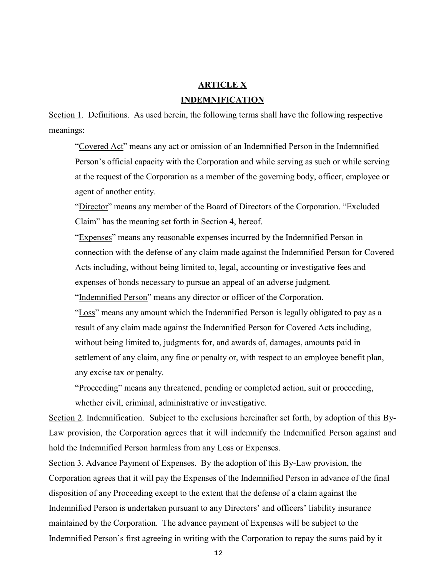# **ARTICLE X INDEMNIFICATION**

Section 1. Definitions. As used herein, the following terms shall have the following respective meanings:

"Covered Act" means any act or omission of an Indemnified Person in the Indemnified Person's official capacity with the Corporation and while serving as such or while serving at the request of the Corporation as a member of the governing body, officer, employee or agent of another entity.

"Director" means any member of the Board of Directors of the Corporation. "Excluded Claim" has the meaning set forth in Section 4, hereof.

"Expenses" means any reasonable expenses incurred by the Indemnified Person in connection with the defense of any claim made against the Indemnified Person for Covered Acts including, without being limited to, legal, accounting or investigative fees and expenses of bonds necessary to pursue an appeal of an adverse judgment.

"Indemnified Person" means any director or officer of the Corporation.

"Loss" means any amount which the Indemnified Person is legally obligated to pay as a result of any claim made against the Indemnified Person for Covered Acts including, without being limited to, judgments for, and awards of, damages, amounts paid in settlement of any claim, any fine or penalty or, with respect to an employee benefit plan, any excise tax or penalty.

"Proceeding" means any threatened, pending or completed action, suit or proceeding, whether civil, criminal, administrative or investigative.

Section 2. Indemnification. Subject to the exclusions hereinafter set forth, by adoption of this By-Law provision, the Corporation agrees that it will indemnify the Indemnified Person against and hold the Indemnified Person harmless from any Loss or Expenses.

Section 3. Advance Payment of Expenses. By the adoption of this By-Law provision, the Corporation agrees that it will pay the Expenses of the Indemnified Person in advance of the final disposition of any Proceeding except to the extent that the defense of a claim against the Indemnified Person is undertaken pursuant to any Directors' and officers' liability insurance maintained by the Corporation. The advance payment of Expenses will be subject to the Indemnified Person's first agreeing in writing with the Corporation to repay the sums paid by it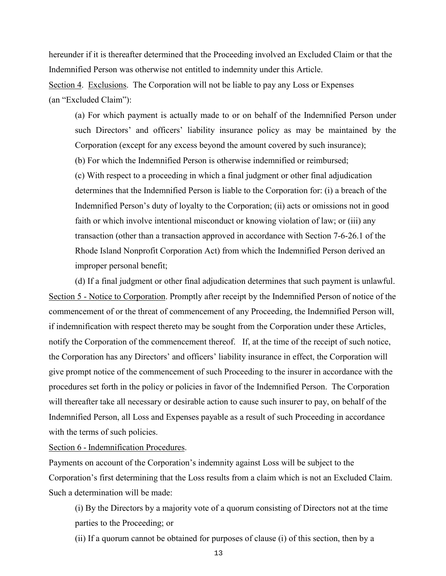hereunder if it is thereafter determined that the Proceeding involved an Excluded Claim or that the Indemnified Person was otherwise not entitled to indemnity under this Article. Section 4. Exclusions. The Corporation will not be liable to pay any Loss or Expenses (an "Excluded Claim"):

(a) For which payment is actually made to or on behalf of the Indemnified Person under such Directors' and officers' liability insurance policy as may be maintained by the Corporation (except for any excess beyond the amount covered by such insurance); (b) For which the Indemnified Person is otherwise indemnified or reimbursed; (c) With respect to a proceeding in which a final judgment or other final adjudication determines that the Indemnified Person is liable to the Corporation for: (i) a breach of the Indemnified Person's duty of loyalty to the Corporation; (ii) acts or omissions not in good faith or which involve intentional misconduct or knowing violation of law; or (iii) any transaction (other than a transaction approved in accordance with Section 7-6-26.1 of the Rhode Island Nonprofit Corporation Act) from which the Indemnified Person derived an improper personal benefit;

(d) If a final judgment or other final adjudication determines that such payment is unlawful. Section 5 - Notice to Corporation. Promptly after receipt by the Indemnified Person of notice of the commencement of or the threat of commencement of any Proceeding, the Indemnified Person will, if indemnification with respect thereto may be sought from the Corporation under these Articles, notify the Corporation of the commencement thereof. If, at the time of the receipt of such notice, the Corporation has any Directors' and officers' liability insurance in effect, the Corporation will give prompt notice of the commencement of such Proceeding to the insurer in accordance with the procedures set forth in the policy or policies in favor of the Indemnified Person. The Corporation will thereafter take all necessary or desirable action to cause such insurer to pay, on behalf of the Indemnified Person, all Loss and Expenses payable as a result of such Proceeding in accordance with the terms of such policies.

Section 6 - Indemnification Procedures.

Payments on account of the Corporation's indemnity against Loss will be subject to the Corporation's first determining that the Loss results from a claim which is not an Excluded Claim. Such a determination will be made:

(i) By the Directors by a majority vote of a quorum consisting of Directors not at the time parties to the Proceeding; or

(ii) If a quorum cannot be obtained for purposes of clause (i) of this section, then by a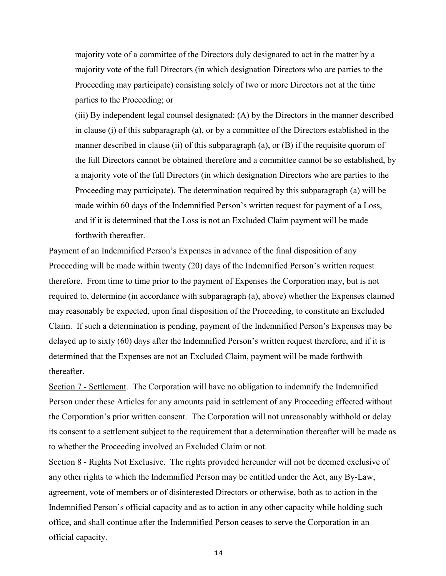majority vote of a committee of the Directors duly designated to act in the matter by a majority vote of the full Directors (in which designation Directors who are parties to the Proceeding may participate) consisting solely of two or more Directors not at the time parties to the Proceeding; or

(iii) By independent legal counsel designated: (A) by the Directors in the manner described in clause (i) of this subparagraph (a), or by a committee of the Directors established in the manner described in clause (ii) of this subparagraph (a), or (B) if the requisite quorum of the full Directors cannot be obtained therefore and a committee cannot be so established, by a majority vote of the full Directors (in which designation Directors who are parties to the Proceeding may participate). The determination required by this subparagraph (a) will be made within 60 days of the Indemnified Person's written request for payment of a Loss, and if it is determined that the Loss is not an Excluded Claim payment will be made forthwith thereafter.

Payment of an Indemnified Person's Expenses in advance of the final disposition of any Proceeding will be made within twenty (20) days of the Indemnified Person's written request therefore. From time to time prior to the payment of Expenses the Corporation may, but is not required to, determine (in accordance with subparagraph (a), above) whether the Expenses claimed may reasonably be expected, upon final disposition of the Proceeding, to constitute an Excluded Claim. If such a determination is pending, payment of the Indemnified Person's Expenses may be delayed up to sixty (60) days after the Indemnified Person's written request therefore, and if it is determined that the Expenses are not an Excluded Claim, payment will be made forthwith thereafter.

Section 7 - Settlement. The Corporation will have no obligation to indemnify the Indemnified Person under these Articles for any amounts paid in settlement of any Proceeding effected without the Corporation's prior written consent. The Corporation will not unreasonably withhold or delay its consent to a settlement subject to the requirement that a determination thereafter will be made as to whether the Proceeding involved an Excluded Claim or not.

Section 8 - Rights Not Exclusive. The rights provided hereunder will not be deemed exclusive of any other rights to which the Indemnified Person may be entitled under the Act, any By-Law, agreement, vote of members or of disinterested Directors or otherwise, both as to action in the Indemnified Person's official capacity and as to action in any other capacity while holding such office, and shall continue after the Indemnified Person ceases to serve the Corporation in an official capacity.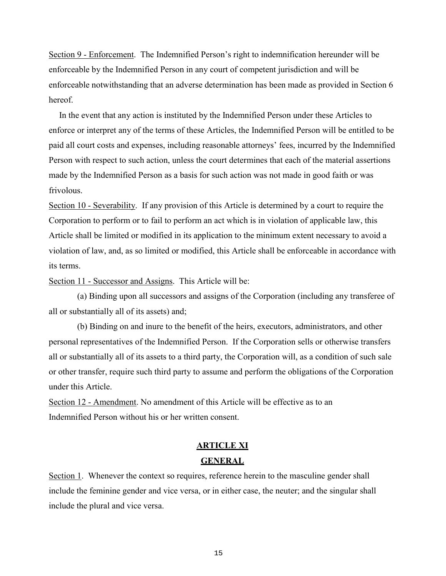Section 9 - Enforcement. The Indemnified Person's right to indemnification hereunder will be enforceable by the Indemnified Person in any court of competent jurisdiction and will be enforceable notwithstanding that an adverse determination has been made as provided in Section 6 hereof.

 In the event that any action is instituted by the Indemnified Person under these Articles to enforce or interpret any of the terms of these Articles, the Indemnified Person will be entitled to be paid all court costs and expenses, including reasonable attorneys' fees, incurred by the Indemnified Person with respect to such action, unless the court determines that each of the material assertions made by the Indemnified Person as a basis for such action was not made in good faith or was frivolous.

Section 10 - Severability. If any provision of this Article is determined by a court to require the Corporation to perform or to fail to perform an act which is in violation of applicable law, this Article shall be limited or modified in its application to the minimum extent necessary to avoid a violation of law, and, as so limited or modified, this Article shall be enforceable in accordance with its terms.

Section 11 - Successor and Assigns. This Article will be:

 (a) Binding upon all successors and assigns of the Corporation (including any transferee of all or substantially all of its assets) and;

 (b) Binding on and inure to the benefit of the heirs, executors, administrators, and other personal representatives of the Indemnified Person. If the Corporation sells or otherwise transfers all or substantially all of its assets to a third party, the Corporation will, as a condition of such sale or other transfer, require such third party to assume and perform the obligations of the Corporation under this Article.

Section 12 - Amendment. No amendment of this Article will be effective as to an Indemnified Person without his or her written consent.

## **ARTICLE XI GENERAL**

Section 1. Whenever the context so requires, reference herein to the masculine gender shall include the feminine gender and vice versa, or in either case, the neuter; and the singular shall include the plural and vice versa.